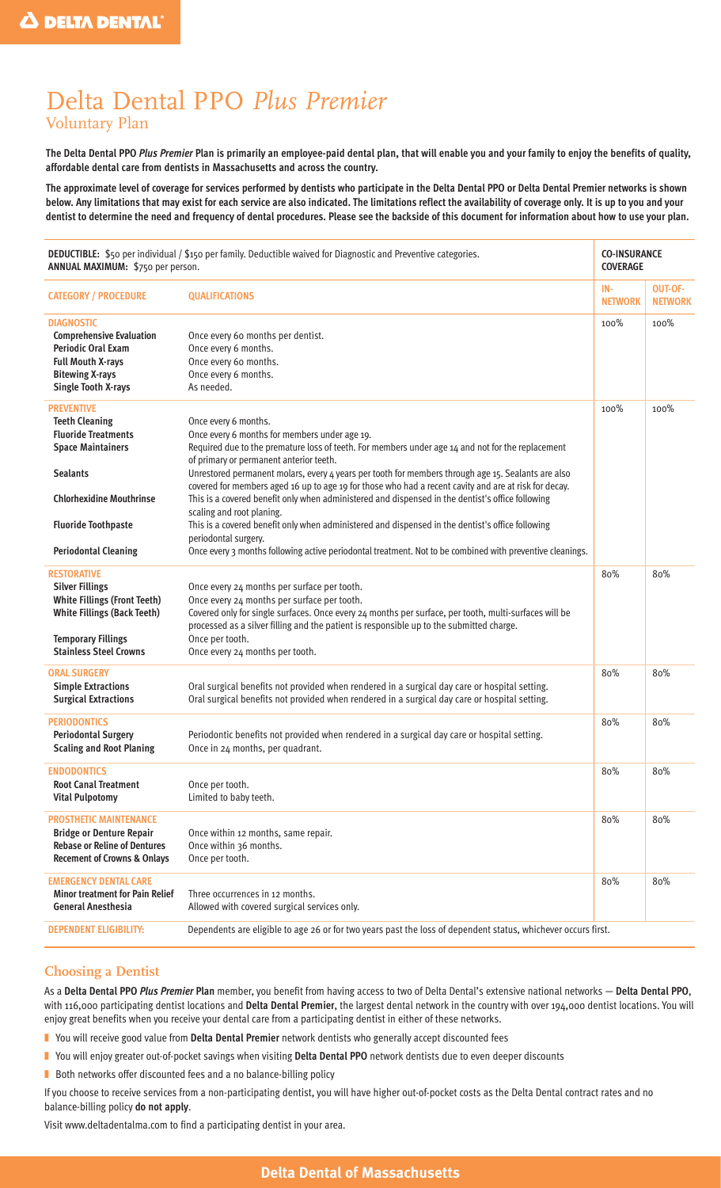# Delta Dental PPO *Plus Premier* Voluntary Plan

**The Delta Dental PPO** *Plus Premier* **Plan is primarily an employee-paid dental plan, that will enable you and your family to enjoy the benefits of quality, affordable dental care from dentists in Massachusetts and across the country.**

**The approximate level of coverage for services performed by dentists who participate in the Delta Dental PPO or Delta Dental Premier networks is shown below. Any limitations that may exist for each service are also indicated. The limitations reflect the availability of coverage only. It is up to you and your dentist to determine the need and frequency of dental procedures. Please see the backside of this document for information about how to use your plan.**

| DEDUCTIBLE: \$50 per individual / \$150 per family. Deductible waived for Diagnostic and Preventive categories.<br>ANNUAL MAXIMUM: \$750 per person.                                                                    |                                                                                                                                                                                                                                                                                                                                                                                                                                                                                                                                                                                                                                                                                                                                                                                                                | <b>CO-INSURANCE</b><br><b>COVERAGE</b> |                           |
|-------------------------------------------------------------------------------------------------------------------------------------------------------------------------------------------------------------------------|----------------------------------------------------------------------------------------------------------------------------------------------------------------------------------------------------------------------------------------------------------------------------------------------------------------------------------------------------------------------------------------------------------------------------------------------------------------------------------------------------------------------------------------------------------------------------------------------------------------------------------------------------------------------------------------------------------------------------------------------------------------------------------------------------------------|----------------------------------------|---------------------------|
| <b>CATEGORY / PROCEDURE</b>                                                                                                                                                                                             | <b>QUALIFICATIONS</b>                                                                                                                                                                                                                                                                                                                                                                                                                                                                                                                                                                                                                                                                                                                                                                                          | IN-<br><b>NETWORK</b>                  | OUT-OF-<br><b>NETWORK</b> |
| <b>DIAGNOSTIC</b><br><b>Comprehensive Evaluation</b><br><b>Periodic Oral Exam</b><br><b>Full Mouth X-rays</b><br><b>Bitewing X-rays</b><br><b>Single Tooth X-rays</b>                                                   | Once every 60 months per dentist.<br>Once every 6 months.<br>Once every 60 months.<br>Once every 6 months.<br>As needed.                                                                                                                                                                                                                                                                                                                                                                                                                                                                                                                                                                                                                                                                                       | 100%                                   | 100%                      |
| <b>PREVENTIVE</b><br><b>Teeth Cleaning</b><br><b>Fluoride Treatments</b><br><b>Space Maintainers</b><br><b>Sealants</b><br><b>Chlorhexidine Mouthrinse</b><br><b>Fluoride Toothpaste</b><br><b>Periodontal Cleaning</b> | Once every 6 months.<br>Once every 6 months for members under age 19.<br>Required due to the premature loss of teeth. For members under age 14 and not for the replacement<br>of primary or permanent anterior teeth.<br>Unrestored permanent molars, every 4 years per tooth for members through age 15. Sealants are also<br>covered for members aged 16 up to age 19 for those who had a recent cavity and are at risk for decay.<br>This is a covered benefit only when administered and dispensed in the dentist's office following<br>scaling and root planing.<br>This is a covered benefit only when administered and dispensed in the dentist's office following<br>periodontal surgery.<br>Once every 3 months following active periodontal treatment. Not to be combined with preventive cleanings. | 100%                                   | 100%                      |
| <b>RESTORATIVE</b><br><b>Silver Fillings</b><br><b>White Fillings (Front Teeth)</b><br><b>White Fillings (Back Teeth)</b><br><b>Temporary Fillings</b><br><b>Stainless Steel Crowns</b>                                 | Once every 24 months per surface per tooth.<br>Once every 24 months per surface per tooth.<br>Covered only for single surfaces. Once every 24 months per surface, per tooth, multi-surfaces will be<br>processed as a silver filling and the patient is responsible up to the submitted charge.<br>Once per tooth.<br>Once every 24 months per tooth.                                                                                                                                                                                                                                                                                                                                                                                                                                                          | 80%                                    | 80%                       |
| ORAL SURGERY<br><b>Simple Extractions</b><br><b>Surgical Extractions</b>                                                                                                                                                | Oral surgical benefits not provided when rendered in a surgical day care or hospital setting.<br>Oral surgical benefits not provided when rendered in a surgical day care or hospital setting.                                                                                                                                                                                                                                                                                                                                                                                                                                                                                                                                                                                                                 | 80%                                    | 80%                       |
| <b>PERIODONTICS</b><br><b>Periodontal Surgery</b><br><b>Scaling and Root Planing</b>                                                                                                                                    | Periodontic benefits not provided when rendered in a surgical day care or hospital setting.<br>Once in 24 months, per quadrant.                                                                                                                                                                                                                                                                                                                                                                                                                                                                                                                                                                                                                                                                                | 80%                                    | 80%                       |
| <b>ENDODONTICS</b><br><b>Root Canal Treatment</b><br><b>Vital Pulpotomy</b>                                                                                                                                             | Once per tooth.<br>Limited to baby teeth.                                                                                                                                                                                                                                                                                                                                                                                                                                                                                                                                                                                                                                                                                                                                                                      | 80%                                    | 80%                       |
| <b>PROSTHETIC MAINTENANCE</b><br><b>Bridge or Denture Repair</b><br><b>Rebase or Reline of Dentures</b><br><b>Recement of Crowns &amp; Onlays</b>                                                                       | Once within 12 months, same repair.<br>Once within 36 months.<br>Once per tooth.                                                                                                                                                                                                                                                                                                                                                                                                                                                                                                                                                                                                                                                                                                                               | 80%                                    | 80%                       |
| <b>EMERGENCY DENTAL CARE</b><br><b>Minor treatment for Pain Relief</b><br><b>General Anesthesia</b>                                                                                                                     | Three occurrences in 12 months.<br>Allowed with covered surgical services only.                                                                                                                                                                                                                                                                                                                                                                                                                                                                                                                                                                                                                                                                                                                                | 80%                                    | 80%                       |
| <b>DEPENDENT ELIGIBILITY:</b>                                                                                                                                                                                           | Dependents are eligible to age 26 or for two years past the loss of dependent status, whichever occurs first.                                                                                                                                                                                                                                                                                                                                                                                                                                                                                                                                                                                                                                                                                                  |                                        |                           |

#### **Choosing a Dentist**

As a **Delta Dental PPO** *Plus Premier* **Plan** member, you benefit from having access to two of Delta Dental's extensive national networks — **Delta Dental PPO**, with 116,000 participating dentist locations and **Delta Dental Premier**, the largest dental network in the country with over 194,000 dentist locations. You will enjoy great benefits when you receive your dental care from a participating dentist in either of these networks.

- You will receive good value from **Delta Dental Premier** network dentists who generally accept discounted fees
- You will enjoy greater out-of-pocket savings when visiting **Delta Dental PPO** network dentists due to even deeper discounts
- Both networks offer discounted fees and a no balance-billing policy

If you choose to receive services from a non-participating dentist, you will have higher out-of-pocket costs as the Delta Dental contract rates and no balance-billing policy **do not apply**.

Visit www.deltadentalma.com to find a participating dentist in your area.